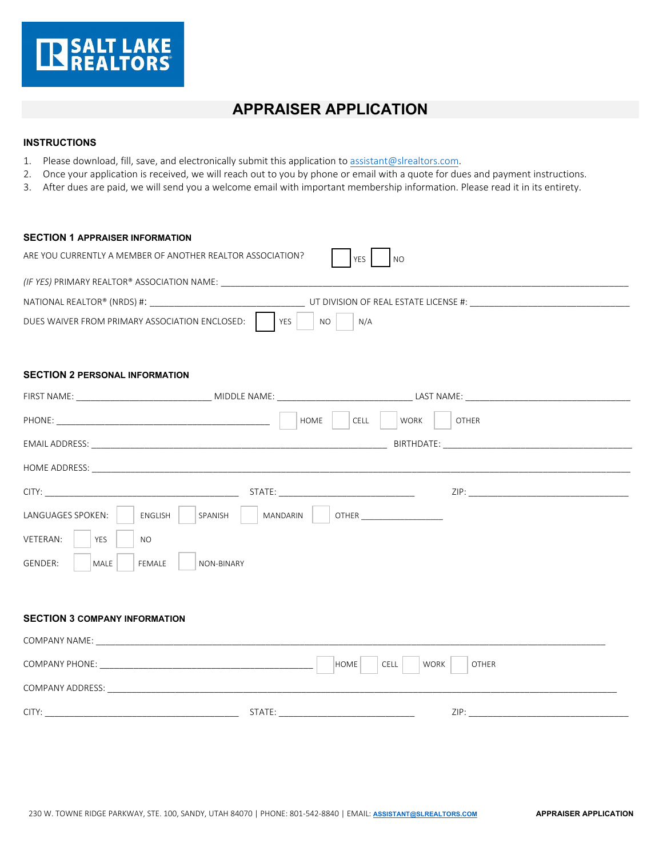

## **APPRAISER APPLICATION**

## **INSTRUCTIONS**

- 1. Please download, fill, save, and electronically submit this application to [assistant@slrealtors.com.](mailto:assistant@slrealtors.com)
- 2. Once your application is received, we will reach out to you by phone or email with a quote for dues and payment instructions.
- 3. After dues are paid, we will send you a welcome email with important membership information. Please read it in its entirety.

| <b>SECTION 1 APPRAISER INFORMATION</b>                     |                     |                                                                                                                                                                                                                                |  |
|------------------------------------------------------------|---------------------|--------------------------------------------------------------------------------------------------------------------------------------------------------------------------------------------------------------------------------|--|
| ARE YOU CURRENTLY A MEMBER OF ANOTHER REALTOR ASSOCIATION? |                     | <b>YES</b><br><b>NO</b>                                                                                                                                                                                                        |  |
|                                                            |                     |                                                                                                                                                                                                                                |  |
|                                                            |                     | NATIONAL REALTOR® (NRDS) #: THE SERVICE OF SERVICE OF SERVICE OF SERVICE OF REAL ESTATE LICENSE #:                                                                                                                             |  |
| DUES WAIVER FROM PRIMARY ASSOCIATION ENCLOSED:             | YZS<br><b>NO</b>    | N/A                                                                                                                                                                                                                            |  |
| <b>SECTION 2 PERSONAL INFORMATION</b>                      |                     |                                                                                                                                                                                                                                |  |
|                                                            |                     |                                                                                                                                                                                                                                |  |
|                                                            | HOME                | CELL<br><b>WORK</b><br><b>OTHER</b>                                                                                                                                                                                            |  |
|                                                            |                     |                                                                                                                                                                                                                                |  |
|                                                            |                     |                                                                                                                                                                                                                                |  |
|                                                            |                     | ZIP: The contract of the contract of the contract of the contract of the contract of the contract of the contract of the contract of the contract of the contract of the contract of the contract of the contract of the contr |  |
| LANGUAGES SPOKEN:<br>ENGLISH                               | SPANISH<br>MANDARIN | OTHER                                                                                                                                                                                                                          |  |
| VETERAN:<br><b>YES</b><br>NO.                              |                     |                                                                                                                                                                                                                                |  |
| GENDER:<br>MALE<br><b>FEMALE</b>                           | NON-BINARY          |                                                                                                                                                                                                                                |  |
|                                                            |                     |                                                                                                                                                                                                                                |  |
| <b>SECTION 3 COMPANY INFORMATION</b>                       |                     |                                                                                                                                                                                                                                |  |
|                                                            |                     |                                                                                                                                                                                                                                |  |
|                                                            |                     | HOME<br>CELL<br><b>WORK</b><br><b>OTHER</b>                                                                                                                                                                                    |  |
|                                                            |                     |                                                                                                                                                                                                                                |  |
|                                                            |                     |                                                                                                                                                                                                                                |  |
|                                                            |                     |                                                                                                                                                                                                                                |  |